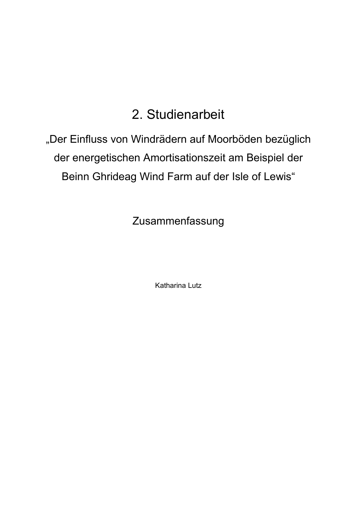## 2. Studienarbeit

"Der Einfluss von Windrädern auf Moorböden bezüglich der energetischen Amortisationszeit am Beispiel der Beinn Ghrideag Wind Farm auf der Isle of Lewis"

Zusammenfassung

Katharina Lutz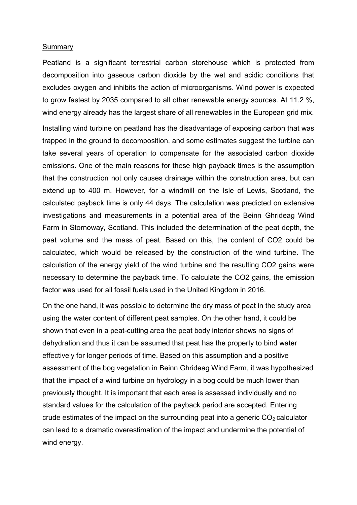## **Summary**

Peatland is a significant terrestrial carbon storehouse which is protected from decomposition into gaseous carbon dioxide by the wet and acidic conditions that excludes oxygen and inhibits the action of microorganisms. Wind power is expected to grow fastest by 2035 compared to all other renewable energy sources. At 11.2 %, wind energy already has the largest share of all renewables in the European grid mix.

Installing wind turbine on peatland has the disadvantage of exposing carbon that was trapped in the ground to decomposition, and some estimates suggest the turbine can take several years of operation to compensate for the associated carbon dioxide emissions. One of the main reasons for these high payback times is the assumption that the construction not only causes drainage within the construction area, but can extend up to 400 m. However, for a windmill on the Isle of Lewis, Scotland, the calculated payback time is only 44 days. The calculation was predicted on extensive investigations and measurements in a potential area of the Beinn Ghrideag Wind Farm in Stornoway, Scotland. This included the determination of the peat depth, the peat volume and the mass of peat. Based on this, the content of CO2 could be calculated, which would be released by the construction of the wind turbine. The calculation of the energy yield of the wind turbine and the resulting CO2 gains were necessary to determine the payback time. To calculate the CO2 gains, the emission factor was used for all fossil fuels used in the United Kingdom in 2016.

On the one hand, it was possible to determine the dry mass of peat in the study area using the water content of different peat samples. On the other hand, it could be shown that even in a peat-cutting area the peat body interior shows no signs of dehydration and thus it can be assumed that peat has the property to bind water effectively for longer periods of time. Based on this assumption and a positive assessment of the bog vegetation in Beinn Ghrideag Wind Farm, it was hypothesized that the impact of a wind turbine on hydrology in a bog could be much lower than previously thought. It is important that each area is assessed individually and no standard values for the calculation of the payback period are accepted. Entering crude estimates of the impact on the surrounding peat into a generic  $CO<sub>2</sub>$  calculator can lead to a dramatic overestimation of the impact and undermine the potential of wind energy.